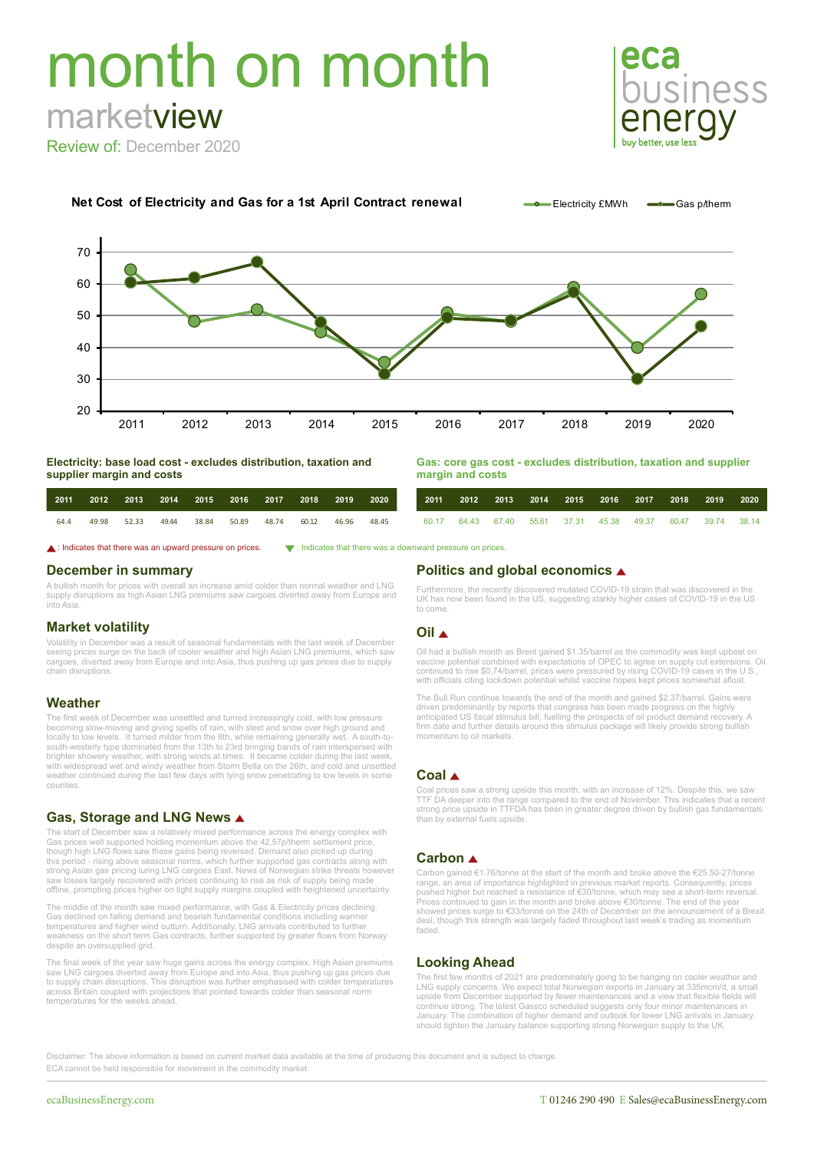# month on month marketview



Review of: December 2020



**Net Cost of Electricity and Gas for a 1st April Contract renewal Contract Felectricity £MWh Gas phherm** 

**Electricity: base load cost - excludes distribution, taxation and supplier margin and costs**

| Gas: core gas cost - excludes distribution, taxation and supplier |  |  |
|-------------------------------------------------------------------|--|--|
| margin and costs                                                  |  |  |

| 2011 |       | 2012 2013 2014 |       | 2015 2016 2017 |                   | 2018 | 2019  | 2020  | 2011 |  |  | 2012 2013 2014 2015 2016 2017                               | 2018 | 2019 | 2020 |
|------|-------|----------------|-------|----------------|-------------------|------|-------|-------|------|--|--|-------------------------------------------------------------|------|------|------|
| 64.4 | 49.98 | 52.33          | 49.44 | 38.84          | 50.89 48.74 60.12 |      | 46.96 | 48.45 |      |  |  | 60.17 64.43 67.40 55.61 37.31 45.38 49.37 60.47 39.74 38.14 |      |      |      |

 $\blacktriangle$ : Indicates that there was an upward pressure on prices.  $\blacktriangledown$ : Indicates that there was a downward pressure on prices

### **December in summary**

A bullish month for prices with overall an increase amid colder than normal weather and LNG supply disruptions as high Asian LNG premiums saw cargoes diverted away from Europe and into Asia.

# **Market volatility**

Volatility in December was a result of seasonal fundamentals with the last week of December seeing prices surge on the back of cooler weather and high Asian LNG premiums, which saw cargoes, diverted away from Europe and into Asia, thus pushing up gas prices due to supply chain disruptions.

### **Weather**

The first week of December was unsettled and turned increasingly cold, with low pressure becoming slow-moving and giving spells of rain, with sleet and snow over high ground and locally to low levels. It turned milder from the 8th, while remaining generally wet. A south-tosouth-westerly type dominated from the 13th to 23rd bringing bands of rain interspersed with brighter showery weather, with strong winds at times. It became colder during the last week, with widespread wet and windy weather from Storm Bella on the 26th, and cold and unsettled weather continued during the last few days with lying snow penetrating to low levels in some counties.

# **Gas, Storage and LNG News**

The start of December saw a relatively mixed performance across the energy complex with Gas prices well supported holding momentum above the 42.57p/therm settlement price, though high LNG flows saw these gains being reversed. Demand also picked up during this period - rising above seasonal norms, which further supported gas contracts along with strong Asian gas pricing luring LNG cargoes East. News of Norwegian strike threats however saw losses largely recovered with prices continuing to rise as risk of supply being made offline, prompting prices higher on tight supply margins coupled with heightened uncertainty.

The middle of the month saw mixed performance, with Gas & Electricity prices declining. Gas declined on falling demand and bearish fundamental conditions including warmer temperatures and higher wind outturn. Additionally, LNG arrivals contributed to further weakness on the short term Gas contracts, further supported by greater flows from Norway despite an oversupplied grid.

The final week of the year saw huge gains across the energy complex. High Asian premiums saw LNG cargoes diverted away from Europe and into Asia, thus pushing up gas prices due to supply chain disruptions. This disruption was further emphasised with colder temperatures across Britain coupled with projections that pointed towards colder than seasonal norm temperatures for the weeks ahead

## **Politics and global economics**

Furthermore, the recently discovered mutated COVID-19 strain that was discovered in the UK has now been found in the US, suggesting starkly higher cases of COVID-19 in the US to come.

### **Oil**

Oil had a bullish month as Brent gained \$1.35/barrel as the commodity was kept upbeat on vaccine potential combined with expectations of OPEC to agree on supply cut extensions. Oil continued to rise \$0.74/barrel, prices were pressured by rising COVID-19 cases in the U.S., with officials citing lockdown potential whilst vaccine hopes kept prices somewhat afloat.

The Bull Run continue towards the end of the month and gained \$2.37/barrel. Gains were driven predominantly by reports that congress has been made progress on the highly anticipated US fiscal stimulus bill, fuelling the prospects of oil product demand recovery. A firm date and further details around this stimulus package will likely provide strong bullish momentum to oil markets.

# **Coal**

Coal prices saw a strong upside this month, with an increase of 12%. Despite this. we saw TTF DA deeper into the range compared to the end of November. This indicates that a recent strong price upside in TTFDA has been in greater degree driven by bullish gas fundamentals than by external fuels upside.

## **Carbon**

Carbon gained €1.76/tonne at the start of the month and broke above the €25.50-27/tonne range, an area of importance highlighted in previous market reports. Consequently, prices pushed higher but reached a resistance of €30/tonne, which may see a short-term reversal. Prices continued to gain in the month and broke above €30/tonne. The end of the year showed prices surge to €33/tonne on the 24th of December on the announcement of a Brexit deal, though this strength was largely faded throughout last week's trading as momentum faded.

# **Looking Ahead**

The first few months of 2021 are predominately going to be hanging on cooler weather and<br>LNG supply concerns. We expect total Norwegian exports in January at 335mcm/d, a small<br>upside from December supported by fewer mainte continue strong. The latest Gassco scheduled suggests only four minor maintenances in<br>January. The combination of higher demand and outlook for lower LNG arrivals in January<br>should tighten the January balance supporting st

Disclaimer: The above information is based on current market data available at the time of producing this document and is subject to change. ECA cannot be held responsible for movement in the commodity market.